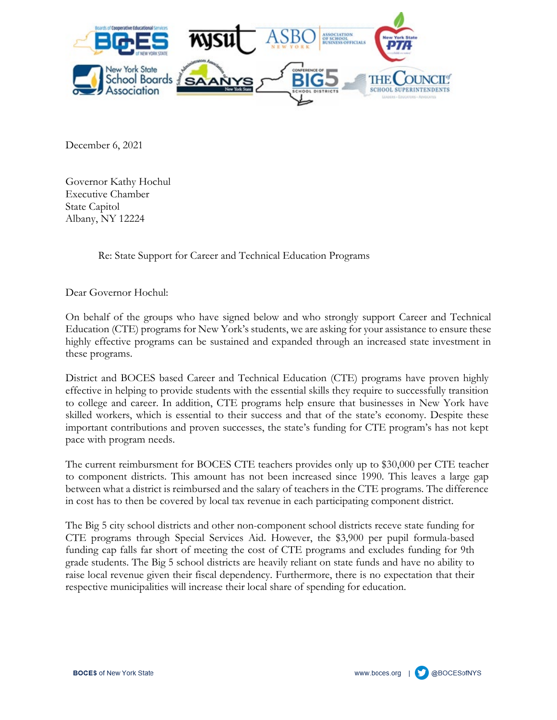

December 6, 2021

Governor Kathy Hochul Executive Chamber State Capitol Albany, NY 12224

Re: State Support for Career and Technical Education Programs

Dear Governor Hochul:

On behalf of the groups who have signed below and who strongly support Career and Technical Education (CTE) programs for New York's students, we are asking for your assistance to ensure these highly effective programs can be sustained and expanded through an increased state investment in these programs.

District and BOCES based Career and Technical Education (CTE) programs have proven highly effective in helping to provide students with the essential skills they require to successfully transition to college and career. In addition, CTE programs help ensure that businesses in New York have skilled workers, which is essential to their success and that of the state's economy. Despite these important contributions and proven successes, the state's funding for CTE program's has not kept pace with program needs.

The current reimbursment for BOCES CTE teachers provides only up to \$30,000 per CTE teacher to component districts. This amount has not been increased since 1990. This leaves a large gap between what a district is reimbursed and the salary of teachers in the CTE programs. The difference in cost has to then be covered by local tax revenue in each participating component district.

The Big 5 city school districts and other non-component school districts receve state funding for CTE programs through Special Services Aid. However, the \$3,900 per pupil formula-based funding cap falls far short of meeting the cost of CTE programs and excludes funding for 9th grade students. The Big 5 school districts are heavily reliant on state funds and have no ability to raise local revenue given their fiscal dependency. Furthermore, there is no expectation that their respective municipalities will increase their local share of spending for education.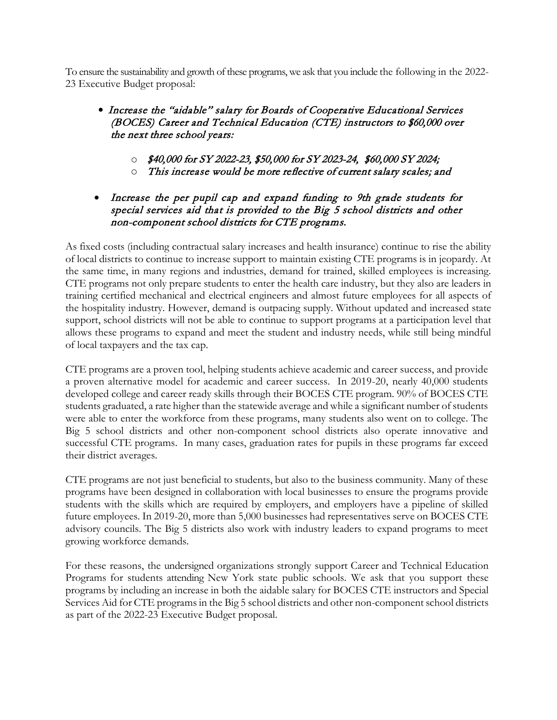To ensure the sustainability and growth of these programs, we ask that you include the following in the 2022-23 Executive Budget proposal:

## • Increase the "aidable" salary for Boards of Cooperative Educational Services (BOCES) Career and Technical Education (CTE) instructors to \$60,000 over the next three school years:

- $\circ$  \$40,000 for SY 2022-23, \$50,000 for SY 2023-24, \$60,000 SY 2024;
- o This increase would be more reflective of current salary scales; and
- Increase the per pupil cap and expand funding to 9th grade students for special services aid that is provided to the Big 5 school districts and other non-component school districts for CTE programs.

As fixed costs (including contractual salary increases and health insurance) continue to rise the ability of local districts to continue to increase support to maintain existing CTE programs is in jeopardy. At the same time, in many regions and industries, demand for trained, skilled employees is increasing. CTE programs not only prepare students to enter the health care industry, but they also are leaders in training certified mechanical and electrical engineers and almost future employees for all aspects of the hospitality industry. However, demand is outpacing supply. Without updated and increased state support, school districts will not be able to continue to support programs at a participation level that allows these programs to expand and meet the student and industry needs, while still being mindful of local taxpayers and the tax cap.

CTE programs are a proven tool, helping students achieve academic and career success, and provide a proven alternative model for academic and career success. In 2019-20, nearly 40,000 students developed college and career ready skills through their BOCES CTE program. 90% of BOCES CTE students graduated, a rate higher than the statewide average and while a significant number of students were able to enter the workforce from these programs, many students also went on to college. The Big 5 school districts and other non-component school districts also operate innovative and successful CTE programs. In many cases, graduation rates for pupils in these programs far exceed their district averages.

CTE programs are not just beneficial to students, but also to the business community. Many of these programs have been designed in collaboration with local businesses to ensure the programs provide students with the skills which are required by employers, and employers have a pipeline of skilled future employees. In 2019-20, more than 5,000 businesses had representatives serve on BOCES CTE advisory councils. The Big 5 districts also work with industry leaders to expand programs to meet growing workforce demands.

For these reasons, the undersigned organizations strongly support Career and Technical Education Programs for students attending New York state public schools. We ask that you support these programs by including an increase in both the aidable salary for BOCES CTE instructors and Special Services Aid for CTE programs in the Big 5 school districts and other non-component school districts as part of the 2022-23 Executive Budget proposal.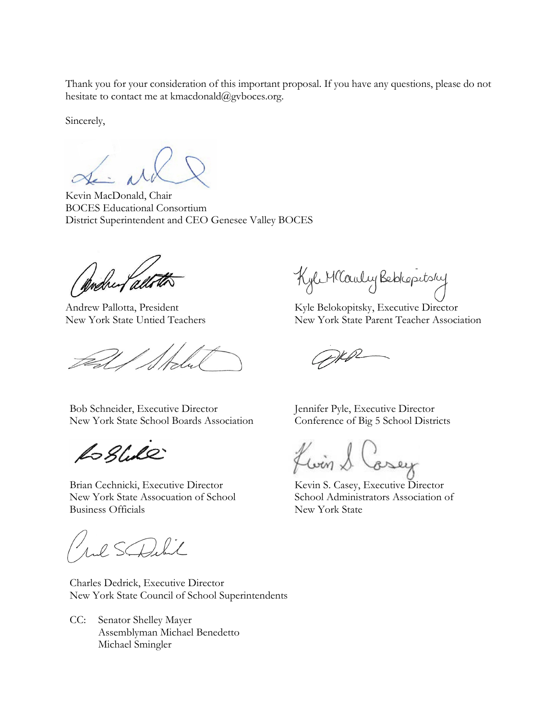Thank you for your consideration of this important proposal. If you have any questions, please do not hesitate to contact me at kmacdonald@gvboces.org.

Sincerely,

Kevin MacDonald, Chair BOCES Educational Consortium District Superintendent and CEO Genesee Valley BOCES

Andrey allotte

Bob Schneider, Executive Director Jennifer Pyle, Executive Director New York State School Boards Association Conference of Big 5 School Districts

Lo Shole

Brian Cechnicki, Executive Director Kevin S. Casey, Executive Director New York State Assocuation of School School Administrators Association of Business Officials New York State

Jul Schil

Charles Dedrick, Executive Director New York State Council of School Superintendents

CC: Senator Shelley Mayer Assemblyman Michael Benedetto Michael Smingler

Kyle MCauly Beblopitsky

Andrew Pallotta, President Kyle Belokopitsky, Executive Director New York State Untied Teachers New York State Parent Teacher Association

fwind Casey